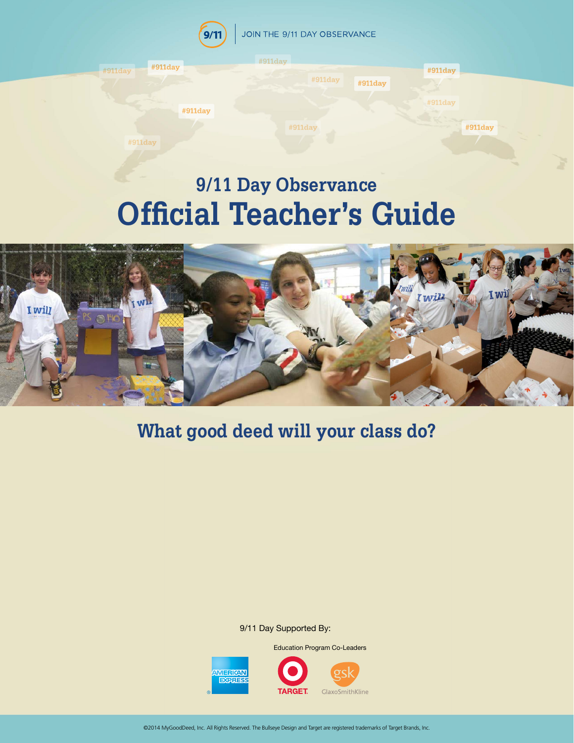

# **Official Teacher's Guide**



## **What good deed will your class do?**

9/11 Day Supported By:

Education Program Co-Leaders

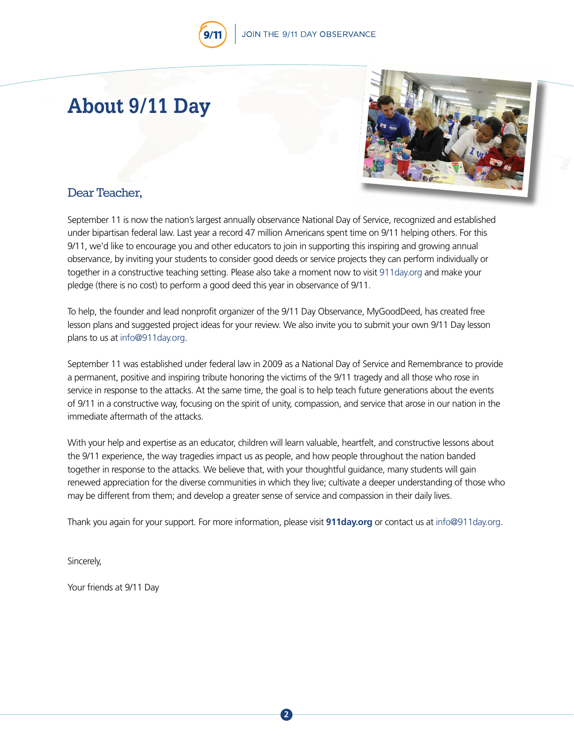## JOIN THE 9/11 DAY OBSERVANCE

## **About 9/11 Day**



### Dear Teacher,

September 11 is now the nation's largest annually observance National Day of Service, recognized and established under bipartisan federal law. Last year a record 47 million Americans spent time on 9/11 helping others. For this 9/11, we'd like to encourage you and other educators to join in supporting this inspiring and growing annual observance, by inviting your students to consider good deeds or service projects they can perform individually or together in a constructive teaching setting. Please also take a moment now to visit [911day.org](http://911day.org) and make your pledge (there is no cost) to perform a good deed this year in observance of 9/11.

To help, the founder and lead nonprofit organizer of the 9/11 Day Observance, MyGoodDeed, has created free lesson plans and suggested project ideas for your review. We also invite you to submit your own 9/11 Day lesson plans to us at [info@911day.org](http://info@911day.org).

September 11 was established under federal law in 2009 as a National Day of Service and Remembrance to provide a permanent, positive and inspiring tribute honoring the victims of the 9/11 tragedy and all those who rose in service in response to the attacks. At the same time, the goal is to help teach future generations about the events of 9/11 in a constructive way, focusing on the spirit of unity, compassion, and service that arose in our nation in the immediate aftermath of the attacks.

With your help and expertise as an educator, children will learn valuable, heartfelt, and constructive lessons about the 9/11 experience, the way tragedies impact us as people, and how people throughout the nation banded together in response to the attacks. We believe that, with your thoughtful guidance, many students will gain renewed appreciation for the diverse communities in which they live; cultivate a deeper understanding of those who may be different from them; and develop a greater sense of service and compassion in their daily lives.

Thank you again for your support. For more information, please visit **[911day.org](http://911day.org)** or contact us at [info@911day.org.](http://info@911day.org)

**2**

Sincerely,

Your friends at 9/11 Day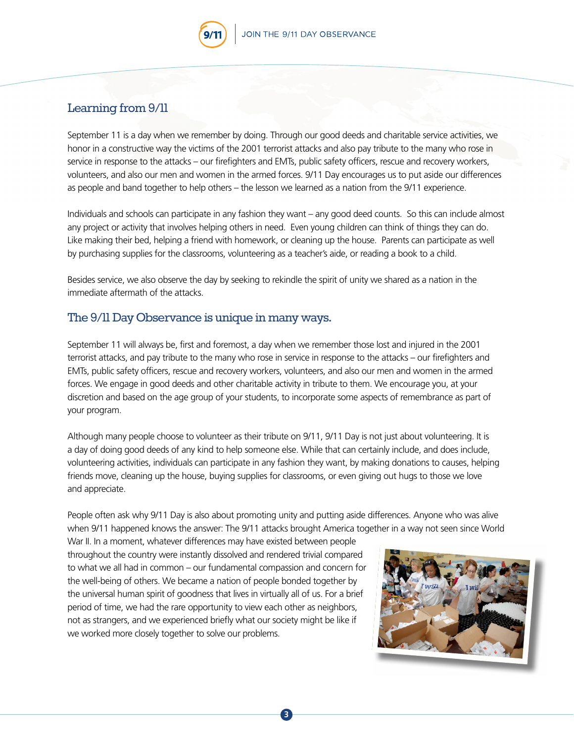#### Learning from 9/11

September 11 is a day when we remember by doing. Through our good deeds and charitable service activities, we honor in a constructive way the victims of the 2001 terrorist attacks and also pay tribute to the many who rose in service in response to the attacks – our firefighters and EMTs, public safety officers, rescue and recovery workers, volunteers, and also our men and women in the armed forces. 9/11 Day encourages us to put aside our differences as people and band together to help others – the lesson we learned as a nation from the 9/11 experience.

Individuals and schools can participate in any fashion they want – any good deed counts. So this can include almost any project or activity that involves helping others in need. Even young children can think of things they can do. Like making their bed, helping a friend with homework, or cleaning up the house. Parents can participate as well by purchasing supplies for the classrooms, volunteering as a teacher's aide, or reading a book to a child.

Besides service, we also observe the day by seeking to rekindle the spirit of unity we shared as a nation in the immediate aftermath of the attacks.

#### The 9/11 Day Observance is unique in many ways.

September 11 will always be, first and foremost, a day when we remember those lost and injured in the 2001 terrorist attacks, and pay tribute to the many who rose in service in response to the attacks – our firefighters and EMTs, public safety officers, rescue and recovery workers, volunteers, and also our men and women in the armed forces. We engage in good deeds and other charitable activity in tribute to them. We encourage you, at your discretion and based on the age group of your students, to incorporate some aspects of remembrance as part of your program.

Although many people choose to volunteer as their tribute on 9/11, 9/11 Day is not just about volunteering. It is a day of doing good deeds of any kind to help someone else. While that can certainly include, and does include, volunteering activities, individuals can participate in any fashion they want, by making donations to causes, helping friends move, cleaning up the house, buying supplies for classrooms, or even giving out hugs to those we love and appreciate.

People often ask why 9/11 Day is also about promoting unity and putting aside differences. Anyone who was alive when 9/11 happened knows the answer: The 9/11 attacks brought America together in a way not seen since World

**3**

War II. In a moment, whatever differences may have existed between people throughout the country were instantly dissolved and rendered trivial compared to what we all had in common – our fundamental compassion and concern for the well-being of others. We became a nation of people bonded together by the universal human spirit of goodness that lives in virtually all of us. For a brief period of time, we had the rare opportunity to view each other as neighbors, not as strangers, and we experienced briefly what our society might be like if we worked more closely together to solve our problems.